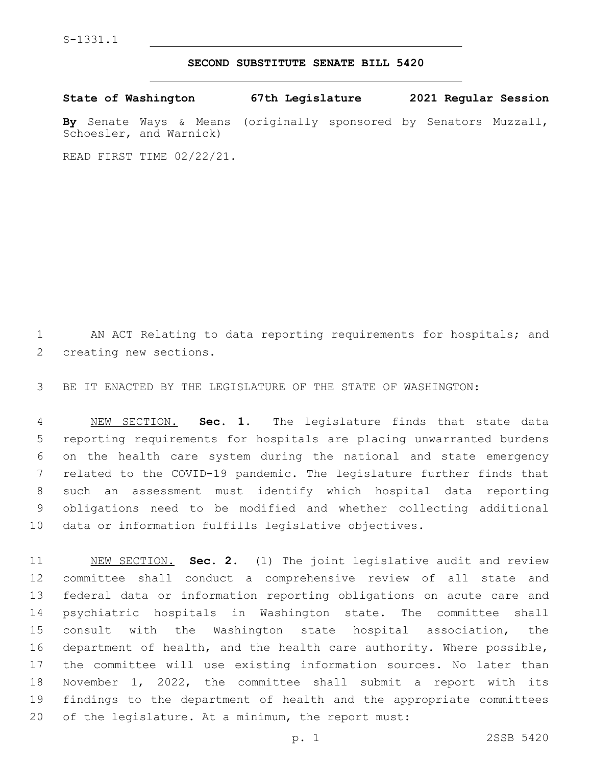S-1331.1

## **SECOND SUBSTITUTE SENATE BILL 5420**

**State of Washington 67th Legislature 2021 Regular Session By** Senate Ways & Means (originally sponsored by Senators Muzzall, Schoesler, and Warnick)

READ FIRST TIME 02/22/21.

1 AN ACT Relating to data reporting requirements for hospitals; and 2 creating new sections.

BE IT ENACTED BY THE LEGISLATURE OF THE STATE OF WASHINGTON:

 NEW SECTION. **Sec. 1.** The legislature finds that state data reporting requirements for hospitals are placing unwarranted burdens on the health care system during the national and state emergency related to the COVID-19 pandemic. The legislature further finds that such an assessment must identify which hospital data reporting obligations need to be modified and whether collecting additional data or information fulfills legislative objectives.

 NEW SECTION. **Sec. 2.** (1) The joint legislative audit and review committee shall conduct a comprehensive review of all state and federal data or information reporting obligations on acute care and psychiatric hospitals in Washington state. The committee shall consult with the Washington state hospital association, the department of health, and the health care authority. Where possible, the committee will use existing information sources. No later than November 1, 2022, the committee shall submit a report with its findings to the department of health and the appropriate committees of the legislature. At a minimum, the report must: